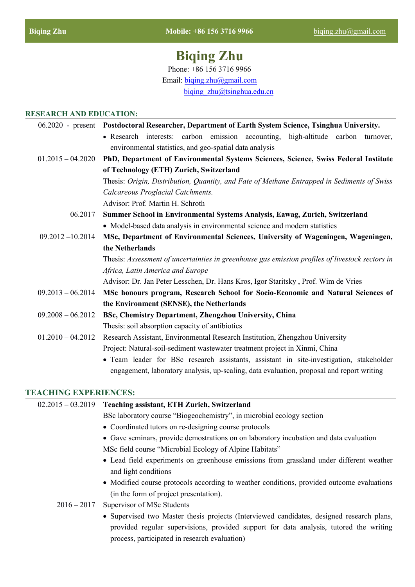# **Biqing Zhu**

Phone: +86 156 3716 9966

Email: [biqing.zhu@gmail.com](mailto:biqing.zhu@gmail.com)

biqing  $zhu@t<sub>s</sub>inghua.edu.cn$ 

#### **RESEARCH AND EDUCATION:**

|                     | 06.2020 - present Postdoctoral Researcher, Department of Earth System Science, Tsinghua University. |
|---------------------|-----------------------------------------------------------------------------------------------------|
|                     | • Research interests: carbon emission accounting, high-altitude carbon turnover,                    |
|                     | environmental statistics, and geo-spatial data analysis                                             |
| $01.2015 - 04.2020$ | PhD, Department of Environmental Systems Sciences, Science, Swiss Federal Institute                 |
|                     | of Technology (ETH) Zurich, Switzerland                                                             |
|                     | Thesis: Origin, Distribution, Quantity, and Fate of Methane Entrapped in Sediments of Swiss         |
|                     | Calcareous Proglacial Catchments.                                                                   |
|                     | Advisor: Prof. Martin H. Schroth                                                                    |
| 06.2017             | Summer School in Environmental Systems Analysis, Eawag, Zurich, Switzerland                         |
|                     | • Model-based data analysis in environmental science and modern statistics                          |
| $09.2012 - 10.2014$ | MSc, Department of Environmental Sciences, University of Wageningen, Wageningen,                    |
|                     | the Netherlands                                                                                     |
|                     | Thesis: Assessment of uncertainties in greenhouse gas emission profiles of livestock sectors in     |
|                     | Africa, Latin America and Europe                                                                    |
|                     | Advisor: Dr. Jan Peter Lesschen, Dr. Hans Kros, Igor Staritsky, Prof. Wim de Vries                  |
| $09.2013 - 06.2014$ | MSc honours program, Research School for Socio-Economic and Natural Sciences of                     |
|                     | the Environment (SENSE), the Netherlands                                                            |
| $09.2008 - 06.2012$ | BSc, Chemistry Department, Zhengzhou University, China                                              |
|                     | Thesis: soil absorption capacity of antibiotics                                                     |
| $01.2010 - 04.2012$ | Research Assistant, Environmental Research Institution, Zhengzhou University                        |
|                     | Project: Natural-soil-sediment wastewater treatment project in Xinmi, China                         |
|                     | • Team leader for BSc research assistants, assistant in site-investigation, stakeholder             |

#### **TEACHING EXPERIENCES:**

# 02.2015 – 03.2019 **Teaching assistant, ETH Zurich, Switzerland** BSc laboratory course "Biogeochemistry", in microbial ecology section • Coordinated tutors on re-designing course protocols Gave seminars, provide demostrations on on laboratory incubation and data evaluation MSc field course "Microbial Ecology of Alpine Habitats" Lead field experiments on greenhouse emissions from grassland under different weather and light conditions • Modified course protocols according to weather conditions, provided outcome evaluations (in the form of project presentation).

- 2016 2017 Supervisor of MSc Students
	- Supervised two Master thesis projects (Interviewed candidates, designed research plans, provided regular supervisions, provided support for data analysis, tutored the writing process, participated in research evaluation)

engagement, laboratory analysis, up-scaling, data evaluation, proposal and report writing